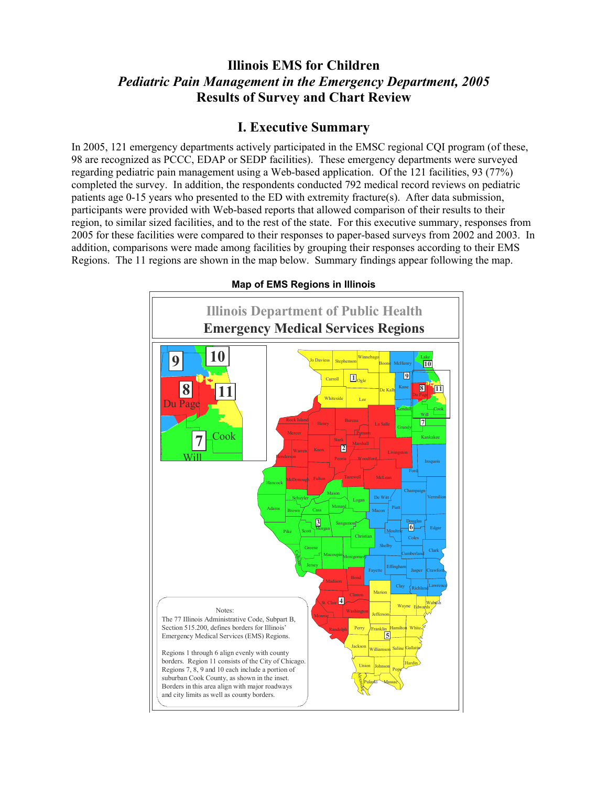# **Illinois EMS for Children**  *Pediatric Pain Management in the Emergency Department, 2005*  **Results of Survey and Chart Review**

## **I. Executive Summary**

In 2005, 121 emergency departments actively participated in the EMSC regional CQI program (of these, 98 are recognized as PCCC, EDAP or SEDP facilities). These emergency departments were surveyed regarding pediatric pain management using a Web-based application. Of the 121 facilities, 93 (77%) completed the survey. In addition, the respondents conducted 792 medical record reviews on pediatric patients age 0-15 years who presented to the ED with extremity fracture(s). After data submission, participants were provided with Web-based reports that allowed comparison of their results to their region, to similar sized facilities, and to the rest of the state. For this executive summary, responses from 2005 for these facilities were compared to their responses to paper-based surveys from 2002 and 2003. In addition, comparisons were made among facilities by grouping their responses according to their EMS Regions. The 11 regions are shown in the map below. Summary findings appear following the map.



**Map of EMS Regions in Illinois**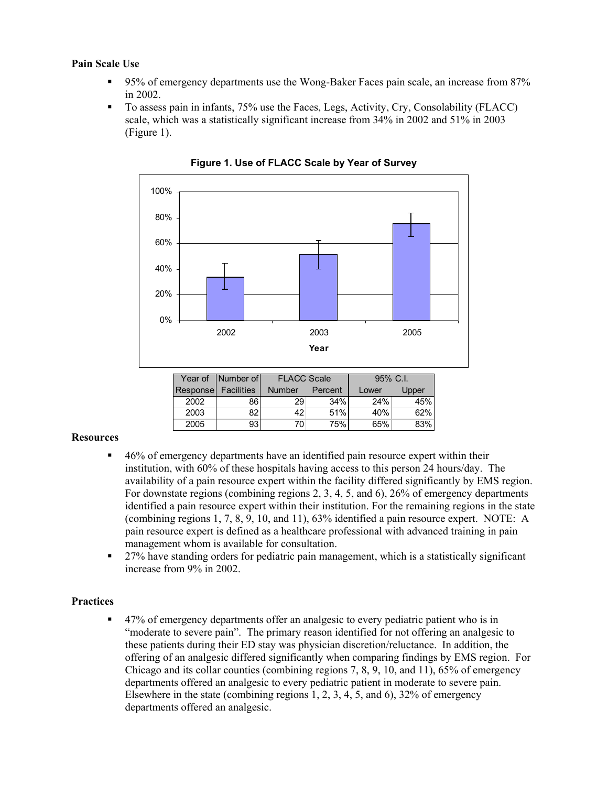### **Pain Scale Use**

- 95% of emergency departments use the Wong-Baker Faces pain scale, an increase from 87% in 2002.
- To assess pain in infants, 75% use the Faces, Legs, Activity, Cry, Consolability (FLACC) scale, which was a statistically significant increase from 34% in 2002 and 51% in 2003 (Figure 1).



**Figure 1. Use of FLACC Scale by Year of Survey** 

#### **Resources**

- <sup>46%</sup> of emergency departments have an identified pain resource expert within their institution, with 60% of these hospitals having access to this person 24 hours/day. The availability of a pain resource expert within the facility differed significantly by EMS region. For downstate regions (combining regions 2, 3, 4, 5, and 6), 26% of emergency departments identified a pain resource expert within their institution. For the remaining regions in the state (combining regions 1, 7, 8, 9, 10, and 11), 63% identified a pain resource expert. NOTE: A pain resource expert is defined as a healthcare professional with advanced training in pain management whom is available for consultation.
- 27% have standing orders for pediatric pain management, which is a statistically significant increase from 9% in 2002.

#### **Practices**

 47% of emergency departments offer an analgesic to every pediatric patient who is in "moderate to severe pain". The primary reason identified for not offering an analgesic to these patients during their ED stay was physician discretion/reluctance. In addition, the offering of an analgesic differed significantly when comparing findings by EMS region. For Chicago and its collar counties (combining regions 7, 8, 9, 10, and 11), 65% of emergency departments offered an analgesic to every pediatric patient in moderate to severe pain. Elsewhere in the state (combining regions 1, 2, 3, 4, 5, and 6), 32% of emergency departments offered an analgesic.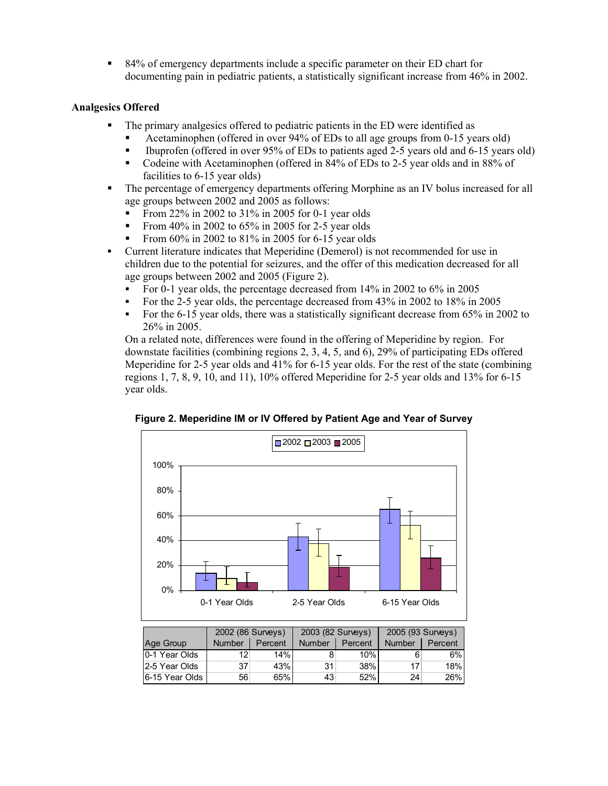84% of emergency departments include a specific parameter on their ED chart for documenting pain in pediatric patients, a statistically significant increase from 46% in 2002.

## **Analgesics Offered**

- The primary analgesics offered to pediatric patients in the ED were identified as
	- Acetaminophen (offered in over 94% of EDs to all age groups from 0-15 years old)
	- Ibuprofen (offered in over 95% of EDs to patients aged 2-5 years old and 6-15 years old)
	- Codeine with Acetaminophen (offered in 84% of EDs to 2-5 year olds and in 88% of facilities to 6-15 year olds)
- The percentage of emergency departments offering Morphine as an IV bolus increased for all age groups between 2002 and 2005 as follows:
	- From 22% in 2002 to 31% in 2005 for 0-1 year olds
	- From 40% in 2002 to  $65\%$  in 2005 for 2-5 year olds
	- From 60% in 2002 to 81% in 2005 for 6-15 year olds
- Current literature indicates that Meperidine (Demerol) is not recommended for use in children due to the potential for seizures, and the offer of this medication decreased for all age groups between 2002 and 2005 (Figure 2).
	- For 0-1 year olds, the percentage decreased from  $14\%$  in 2002 to  $6\%$  in 2005
	- For the 2-5 year olds, the percentage decreased from 43% in 2002 to 18% in 2005
	- For the 6-15 year olds, there was a statistically significant decrease from 65% in 2002 to 26% in 2005.

On a related note, differences were found in the offering of Meperidine by region. For downstate facilities (combining regions 2, 3, 4, 5, and 6), 29% of participating EDs offered Meperidine for 2-5 year olds and 41% for 6-15 year olds. For the rest of the state (combining regions 1, 7, 8, 9, 10, and 11), 10% offered Meperidine for 2-5 year olds and 13% for 6-15 year olds.



**Figure 2. Meperidine IM or IV Offered by Patient Age and Year of Survey**